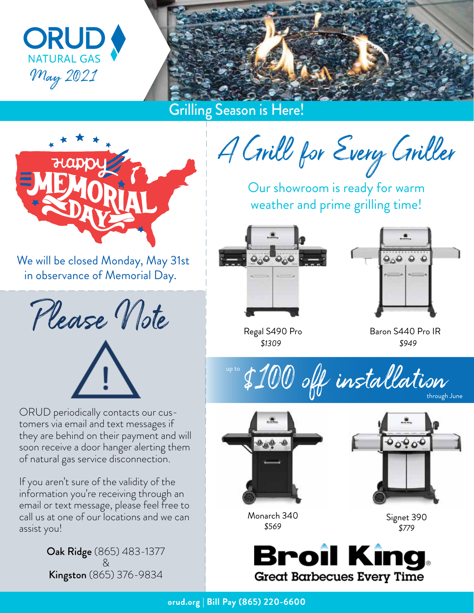



Grilling Season is Here!



We will be closed Monday, May 31st in observance of Memorial Day.

Please Vote



ORUD periodically contacts our customers via email and text messages if they are behind on their payment and will soon receive a door hanger alerting them of natural gas service disconnection.

If you aren't sure of the validity of the information you're receiving through an email or text message, please feel free to call us at one of our locations and we can assist you!

> Oak Ridge (865) 483-1377 & Kingston (865) 376-9834

A Crill for Every Criller

Our showroom is ready for warm weather and prime grilling time!





Regal S490 Pro *\$1309*

Baron S440 Pro IR *\$949*





Monarch 340 *\$569*



Signet 390 *\$779*